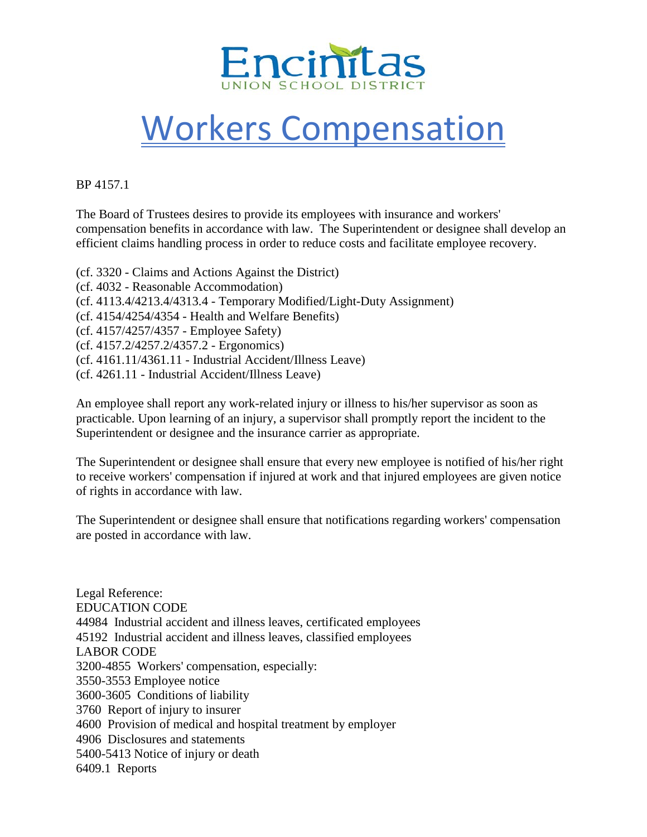

## Workers Compensation

BP 4157.1

The Board of Trustees desires to provide its employees with insurance and workers' compensation benefits in accordance with law. The Superintendent or designee shall develop an efficient claims handling process in order to reduce costs and facilitate employee recovery.

(cf. 3320 - Claims and Actions Against the District) (cf. 4032 - Reasonable Accommodation) (cf. 4113.4/4213.4/4313.4 - Temporary Modified/Light-Duty Assignment) (cf. 4154/4254/4354 - Health and Welfare Benefits) (cf. 4157/4257/4357 - Employee Safety) (cf. 4157.2/4257.2/4357.2 - Ergonomics) (cf. 4161.11/4361.11 - Industrial Accident/Illness Leave) (cf. 4261.11 - Industrial Accident/Illness Leave)

An employee shall report any work-related injury or illness to his/her supervisor as soon as practicable. Upon learning of an injury, a supervisor shall promptly report the incident to the Superintendent or designee and the insurance carrier as appropriate.

The Superintendent or designee shall ensure that every new employee is notified of his/her right to receive workers' compensation if injured at work and that injured employees are given notice of rights in accordance with law.

The Superintendent or designee shall ensure that notifications regarding workers' compensation are posted in accordance with law.

Legal Reference: EDUCATION CODE 44984 Industrial accident and illness leaves, certificated employees 45192 Industrial accident and illness leaves, classified employees LABOR CODE 3200-4855 Workers' compensation, especially: 3550-3553 Employee notice 3600-3605 Conditions of liability 3760 Report of injury to insurer 4600 Provision of medical and hospital treatment by employer 4906 Disclosures and statements 5400-5413 Notice of injury or death 6409.1 Reports